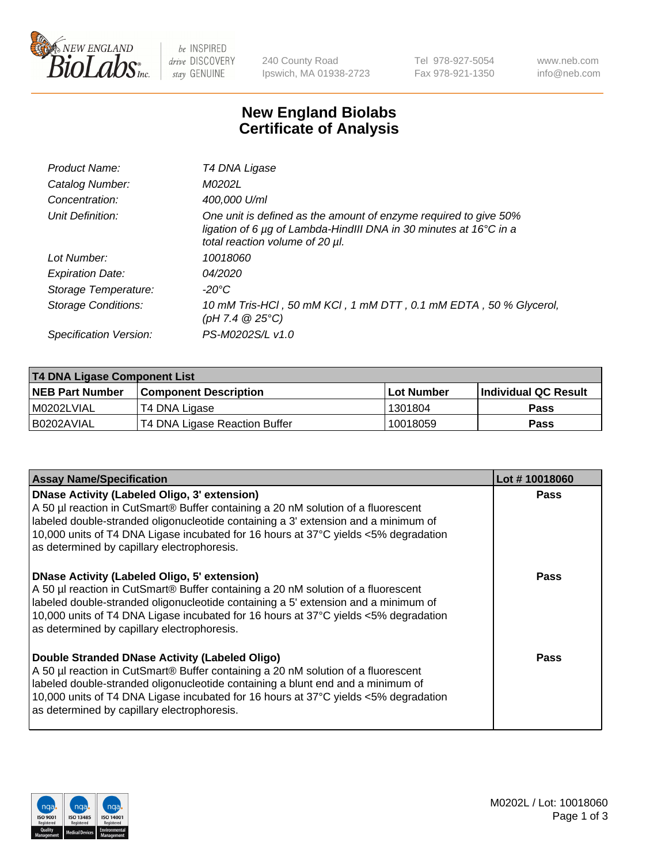

be INSPIRED drive DISCOVERY stay GENUINE

240 County Road Ipswich, MA 01938-2723 Tel 978-927-5054 Fax 978-921-1350 www.neb.com info@neb.com

## **New England Biolabs Certificate of Analysis**

| Product Name:           | T4 DNA Ligase                                                                                                                                                            |
|-------------------------|--------------------------------------------------------------------------------------------------------------------------------------------------------------------------|
| Catalog Number:         | M0202L                                                                                                                                                                   |
| Concentration:          | 400,000 U/ml                                                                                                                                                             |
| Unit Definition:        | One unit is defined as the amount of enzyme required to give 50%<br>ligation of 6 µg of Lambda-HindIII DNA in 30 minutes at 16°C in a<br>total reaction volume of 20 µl. |
| Lot Number:             | 10018060                                                                                                                                                                 |
| <b>Expiration Date:</b> | 04/2020                                                                                                                                                                  |
| Storage Temperature:    | $-20^{\circ}$ C                                                                                                                                                          |
| Storage Conditions:     | 10 mM Tris-HCl, 50 mM KCl, 1 mM DTT, 0.1 mM EDTA, 50 % Glycerol,<br>(pH 7.4 $@25°C$ )                                                                                    |
| Specification Version:  | PS-M0202S/L v1.0                                                                                                                                                         |
|                         |                                                                                                                                                                          |

| T4 DNA Ligase Component List |                               |                   |                      |  |
|------------------------------|-------------------------------|-------------------|----------------------|--|
| <b>NEB Part Number</b>       | <b>Component Description</b>  | <b>Lot Number</b> | Individual QC Result |  |
| I M0202LVIAL                 | T4 DNA Ligase                 | 1301804           | <b>Pass</b>          |  |
| I B0202AVIAL                 | T4 DNA Ligase Reaction Buffer | 10018059          | <b>Pass</b>          |  |

| <b>Assay Name/Specification</b>                                                                                                                                                                                                                                                                                                                                      | Lot #10018060 |
|----------------------------------------------------------------------------------------------------------------------------------------------------------------------------------------------------------------------------------------------------------------------------------------------------------------------------------------------------------------------|---------------|
| <b>DNase Activity (Labeled Oligo, 3' extension)</b><br>A 50 µl reaction in CutSmart® Buffer containing a 20 nM solution of a fluorescent<br>labeled double-stranded oligonucleotide containing a 3' extension and a minimum of<br>10,000 units of T4 DNA Ligase incubated for 16 hours at 37°C yields <5% degradation<br>as determined by capillary electrophoresis. | <b>Pass</b>   |
| <b>DNase Activity (Labeled Oligo, 5' extension)</b><br>A 50 µl reaction in CutSmart® Buffer containing a 20 nM solution of a fluorescent<br>labeled double-stranded oligonucleotide containing a 5' extension and a minimum of<br>10,000 units of T4 DNA Ligase incubated for 16 hours at 37°C yields <5% degradation<br>as determined by capillary electrophoresis. | Pass          |
| Double Stranded DNase Activity (Labeled Oligo)<br>A 50 µl reaction in CutSmart® Buffer containing a 20 nM solution of a fluorescent<br>labeled double-stranded oligonucleotide containing a blunt end and a minimum of<br>10,000 units of T4 DNA Ligase incubated for 16 hours at 37°C yields <5% degradation<br>as determined by capillary electrophoresis.         | Pass          |

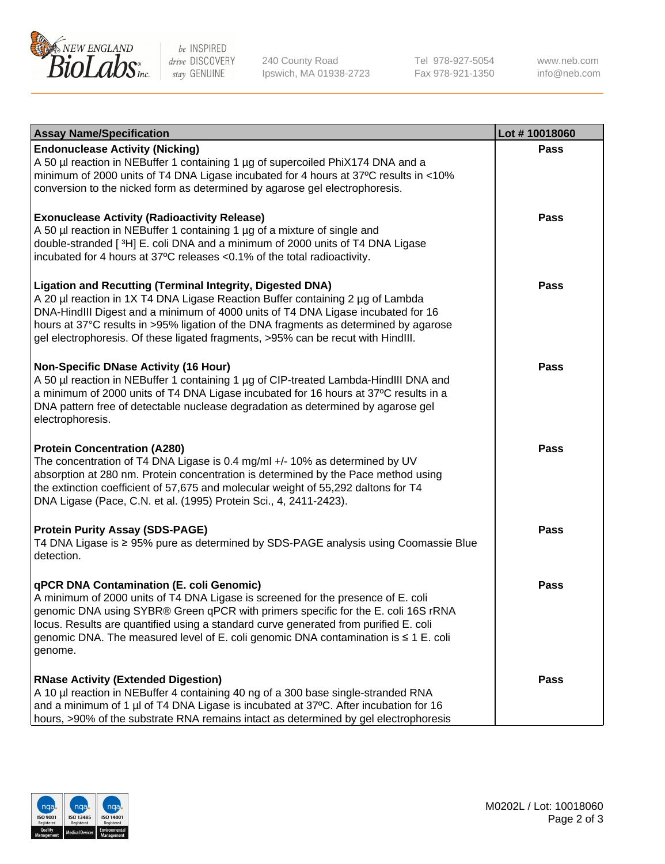

be INSPIRED drive DISCOVERY stay GENUINE

240 County Road Ipswich, MA 01938-2723 Tel 978-927-5054 Fax 978-921-1350

www.neb.com info@neb.com

| <b>Assay Name/Specification</b>                                                                                                                                                                                                                                                                                                                                                                                    | Lot #10018060 |
|--------------------------------------------------------------------------------------------------------------------------------------------------------------------------------------------------------------------------------------------------------------------------------------------------------------------------------------------------------------------------------------------------------------------|---------------|
| <b>Endonuclease Activity (Nicking)</b><br>A 50 µl reaction in NEBuffer 1 containing 1 µg of supercoiled PhiX174 DNA and a<br>minimum of 2000 units of T4 DNA Ligase incubated for 4 hours at 37°C results in <10%<br>conversion to the nicked form as determined by agarose gel electrophoresis.                                                                                                                   | <b>Pass</b>   |
| <b>Exonuclease Activity (Radioactivity Release)</b><br>A 50 µl reaction in NEBuffer 1 containing 1 µg of a mixture of single and<br>double-stranded [3H] E. coli DNA and a minimum of 2000 units of T4 DNA Ligase<br>incubated for 4 hours at 37°C releases <0.1% of the total radioactivity.                                                                                                                      | <b>Pass</b>   |
| <b>Ligation and Recutting (Terminal Integrity, Digested DNA)</b><br>A 20 µl reaction in 1X T4 DNA Ligase Reaction Buffer containing 2 µg of Lambda<br>DNA-HindIII Digest and a minimum of 4000 units of T4 DNA Ligase incubated for 16<br>hours at 37°C results in >95% ligation of the DNA fragments as determined by agarose<br>gel electrophoresis. Of these ligated fragments, >95% can be recut with HindIII. | <b>Pass</b>   |
| <b>Non-Specific DNase Activity (16 Hour)</b><br>A 50 µl reaction in NEBuffer 1 containing 1 µg of CIP-treated Lambda-HindIII DNA and<br>a minimum of 2000 units of T4 DNA Ligase incubated for 16 hours at 37°C results in a<br>DNA pattern free of detectable nuclease degradation as determined by agarose gel<br>electrophoresis.                                                                               | <b>Pass</b>   |
| <b>Protein Concentration (A280)</b><br>The concentration of T4 DNA Ligase is 0.4 mg/ml +/- 10% as determined by UV<br>absorption at 280 nm. Protein concentration is determined by the Pace method using<br>the extinction coefficient of 57,675 and molecular weight of 55,292 daltons for T4<br>DNA Ligase (Pace, C.N. et al. (1995) Protein Sci., 4, 2411-2423).                                                | <b>Pass</b>   |
| <b>Protein Purity Assay (SDS-PAGE)</b><br>T4 DNA Ligase is ≥ 95% pure as determined by SDS-PAGE analysis using Coomassie Blue<br>detection.                                                                                                                                                                                                                                                                        | <b>Pass</b>   |
| qPCR DNA Contamination (E. coli Genomic)<br>A minimum of 2000 units of T4 DNA Ligase is screened for the presence of E. coli<br>genomic DNA using SYBR® Green qPCR with primers specific for the E. coli 16S rRNA<br>locus. Results are quantified using a standard curve generated from purified E. coli<br>genomic DNA. The measured level of E. coli genomic DNA contamination is ≤ 1 E. coli<br>genome.        | Pass          |
| <b>RNase Activity (Extended Digestion)</b><br>A 10 µl reaction in NEBuffer 4 containing 40 ng of a 300 base single-stranded RNA<br>and a minimum of 1 µl of T4 DNA Ligase is incubated at 37°C. After incubation for 16<br>hours, >90% of the substrate RNA remains intact as determined by gel electrophoresis                                                                                                    | <b>Pass</b>   |